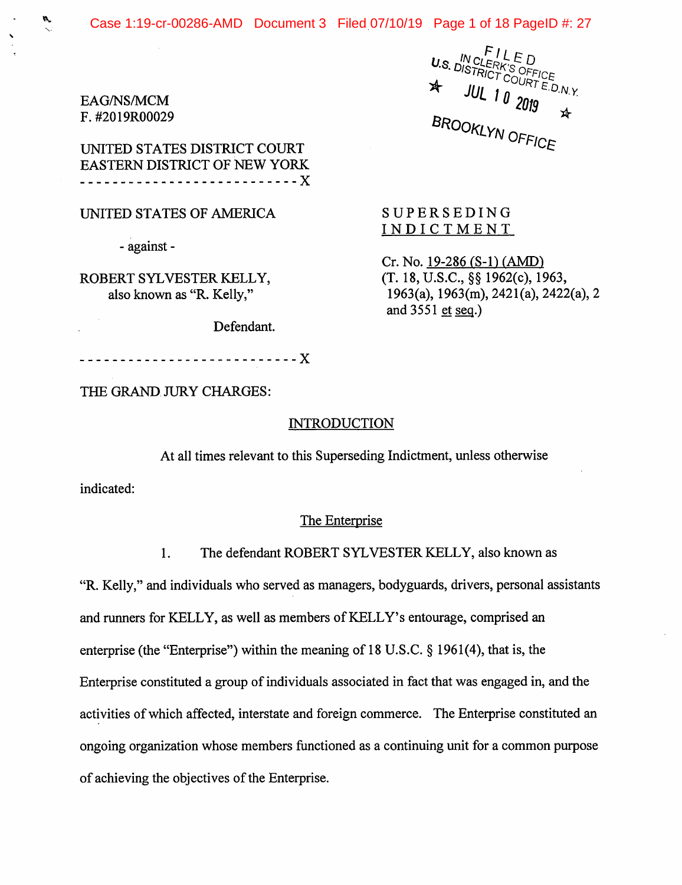EAG/NS/MCM F. #2019R00029

UNITED STATES DISTRICT COURT EASTERN DISTRICT OF NEW YORK <u>--------------------------- X</u>

#### UNITED STATES OF AMERICA

- against -

ROBERT SYLVESTER KELLY, also known as "R. Kelly,"

Defendant.

U.S. IN CLERK'S OFFICE<br>U.S. DISTRICT COURT E.D.N.Y.  $2019$ <br>BROOKLYN OFFICE  $\cancel{x}$ 

SUPERSEDING INDICTMENT

 $Cr. No. 19-286 (S-1) (AMD)$ (T. 18, U.S.C., §§ 1962(c), 1963, 1963(a), 1963(m), 2421(a), 2422(a), 2 and  $3551$  et seq.)

THE GRAND JURY CHARGES:

X

#### INTRODUCTION

At all times relevant to this Superseding Indictment, unless otherwise

indicated:

#### The Enterprise

1. The defendant ROBERT SYLVESTER KELLY, also known as

"R. Kelly," and individuals who served as managers, bodyguards, drivers, personal assistants and runners for KELLY, as well as members of KELLY's entourage, comprised an enterprise (the "Enterprise") within the meaning of 18 U.S.C. § 1961(4), that is, the Enterprise constituted a group of individuals associated in fact that was engaged in, and the activities of which affected, interstate and foreign commerce. The Enterprise constituted an ongoing organization whose members functioned as a continuing unit for a common purpose of achieving the objectives of the Enterprise.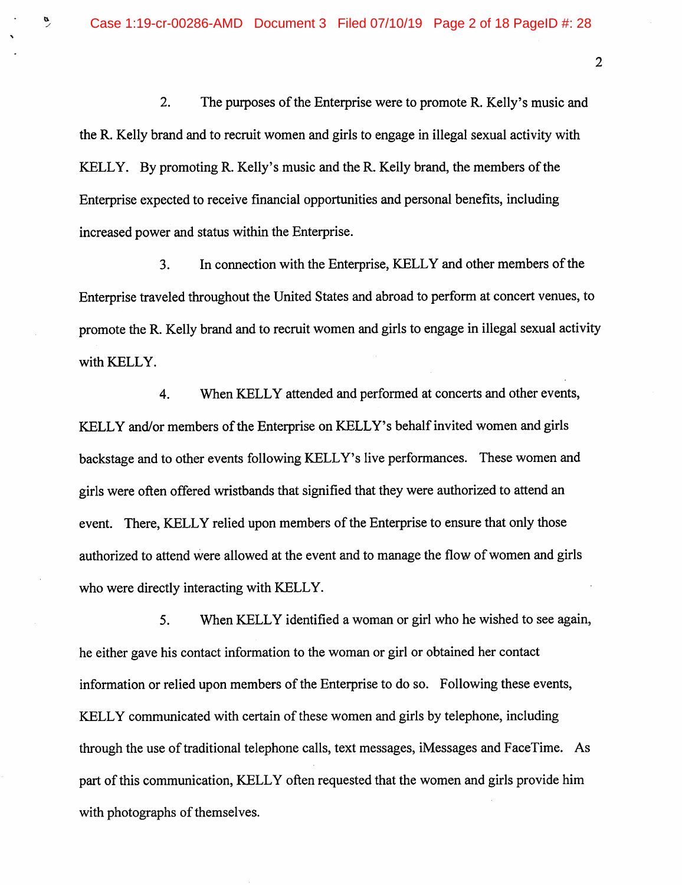2. The purposes of the Enterprise were to promote R. Kelly's music and the R. Kelly brand and to recruit women and girls to engage in illegal sexual activity with KELLY. By promoting R. Kelly's music and the R. Kelly brand, the members of the Enterprise expected to receive financial opportunities and personal benefits, including increased power and status within the Enterprise.

3. In connection with the Enterprise, KELLY and other members of the Enterprise traveled throughout the United States and abroad to perform at concert venues, to promote the R. Kelly brand and to recruit women and girls to engage in illegal sexual activity with KELLY.

4. When KELLY attended and performed at concerts and other events, KELLY and/or members of the Enterprise on KELLY's behalf invited women and girls backstage and to other events following KELLY's live performances. These women and girls were often offered wristbands that signified that they were authorized to attend an event. There, KELLY relied upon members of the Enterprise to ensure that only those authorized to attend were allowed at the event and to manage the flow of women and girls who were directly interacting with KELLY.

5. When KELLY identified a woman or girl who he wished to see again, he either gave his contact information to the woman or girl or obtained her contact information or relied upon members of the Enterprise to do so. Following these events, KELLY communicated with certain of these women and girls by telephone, including through the use of traditional telephone calls, text messages, iMessages and FaceTime. As part of this communication, KELLY often requested that the women and girls provide him with photographs of themselves.

 $\ddot{\phantom{a}}$ 

 $\overline{2}$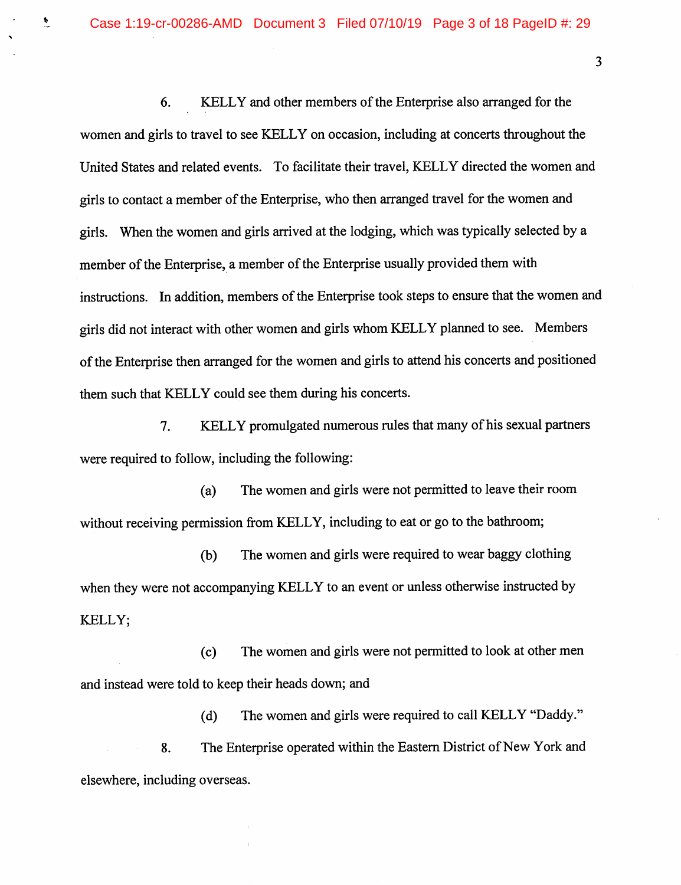Case 1:19-cr-00286-AMD Document 3 Filed 07/10/19 Page 3 of 18 PageID #: 29

 $\ddot{\bullet}$ 

6. KELLY and other members of the Enterprise also arranged for the women and girls to travel to see KELLY on occasion, including at concerts throughout the United States and related events. To facilitate their travel, KELLY directed the women and girls to contact a member of the Enterprise, who then arranged travel for the women and girls. When the women and girls arrived at the lodging, which was typically selected by a member of the Enterprise, a member of the Enterprise usually provided them with instructions. In addition, members of the Enterprise took steps to ensure that the women and girls did not interact with other women and girls whom KELLY planned to see. Members of the Enterprise then arranged for the women and girls to attend his concerts and positioned them such that KELLY could see them during his concerts.

7. KELLY promulgated numerous rules that many of his sexual partners were required to follow, including the following:

(a) The women and girls were not permitted to leave their room without receiving permission from KELLY, including to eat or go to the bathroom;

(b) The women and girls were required to wear baggy clothing when they were not accompanying KELLY to an event or unless otherwise instructed by KELLY;

(c) The women and girls were not permitted to look at other men and instead were told to keep their heads down; and

(d) The women and girls were required to call KELLY "Daddy." 8. The Enterprise operated within the Eastern District of New York and elsewhere, including overseas.

 $\overline{3}$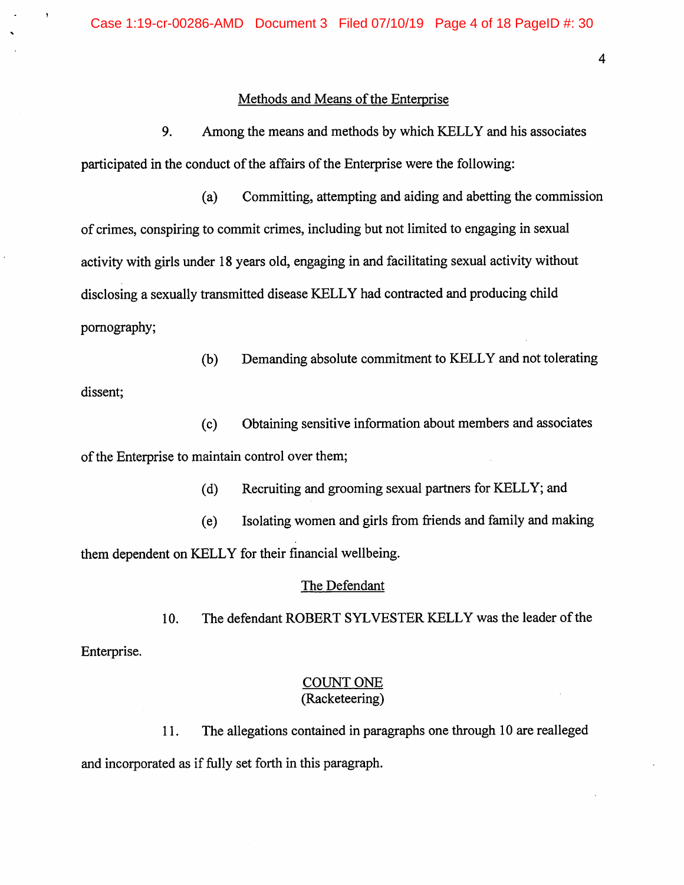#### Methods and Means of the Enterprise

9. Among the means and methods by which KELLY and his associates participated in the conduct of the affairs of the Enterprise were the following:

(a) Committing, attempting and aiding and abetting the commission of crimes, conspiring to commit crimes, including but not limited to engaging in sexual activity with girls under 18 years old, engaging in and facilitating sexual activity without disclosing a sexually transmitted disease KELLY had contracted and producing child pornography;

(b) Demanding absolute commitment to KELLY and not tolerating dissent;

(c) Obtaining sensitive information about members and associates of the Enterprise to maintain control over them;

(d) Recruiting and grooming sexual partners for KELLY; and

(e) Isolating women and girls from friends and family and making them dependent on KELLY for their financial wellbeing.

#### The Defendant

10. The defendant ROBERT SYLVESTER KELLY was the leader of the Enterprise.

## COUNT ONE (Racketeering)

11. The allegations contained in paragraphs one through 10 are realleged and incorporated as if fully set forth in this paragraph.

 $\overline{4}$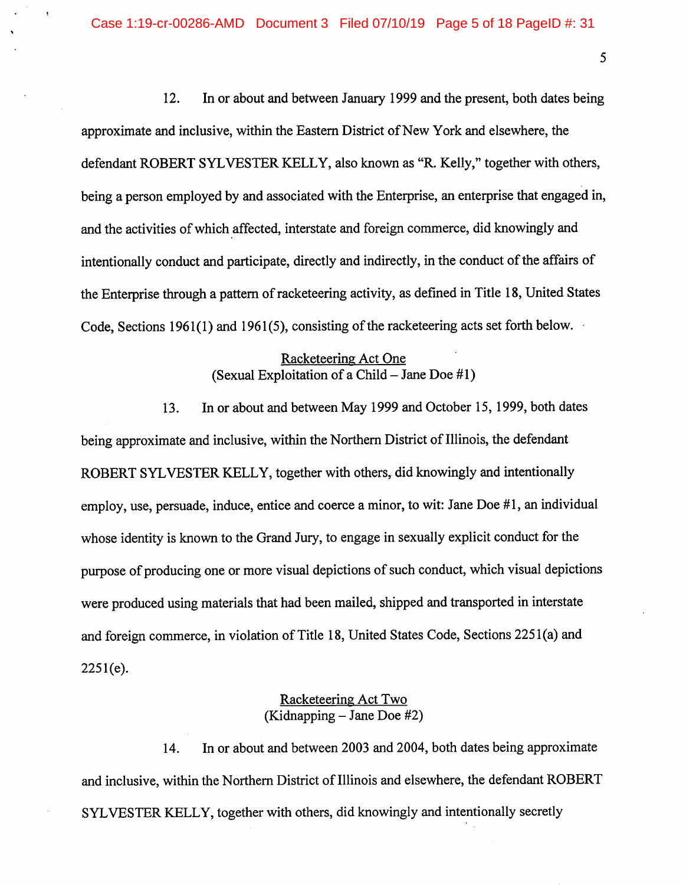12. In or about and between January 1999 and the present, both dates being approximate and inclusive, within the Eastern District of New York and elsewhere, the defendant ROBERT SYLVESTER KELLY, also known as "R. Kelly," together with others, being a person employed by and associated with the Enterprise, an enterprise that engaged in, and the activities of which affected, interstate and foreign commerce, did knowingly and intentionally conduct and participate, directly and indirectly, in the conduct of the affairs of the Enterprise through a pattern of racketeering activity, as defined in Title 18, United States Code, Sections 1961(1) and 1961(5), consisting of the racketeering acts set forth below.

## Racketeering Act One (Sexual Exploitation of a Child - Jane Doe  $#1$ )

13. In or about and between May 1999 and October 15, 1999, both dates being approximate and inclusive, within the Northern District of Illinois, the defendant ROBERT SYLVESTER KELLY, together with others, did knowingly and intentionally employ, use, persuade, induce, entice and coerce a minor, to wit: Jane Doe #1, an individual whose identity is known to the Grand Jury, to engage in sexually explicit conduct for the purpose of producing one or more visual depictions of such conduct, which visual depictions were produced using materials that had been mailed, shipped and transported in interstate and foreign commerce, in violation of Title 18, United States Code, Sections 2251(a) and 2251(e).

## Racketeering Act Two  $(Kidnapping - Jane Doe #2)$

14. In or about and between 2003 and 2004, both dates being approximate and inclusive, within the Northern District of Illinois and elsewhere, the defendant ROBERT SYLVESTER KELLY, together with others, did knowingly and intentionally secretly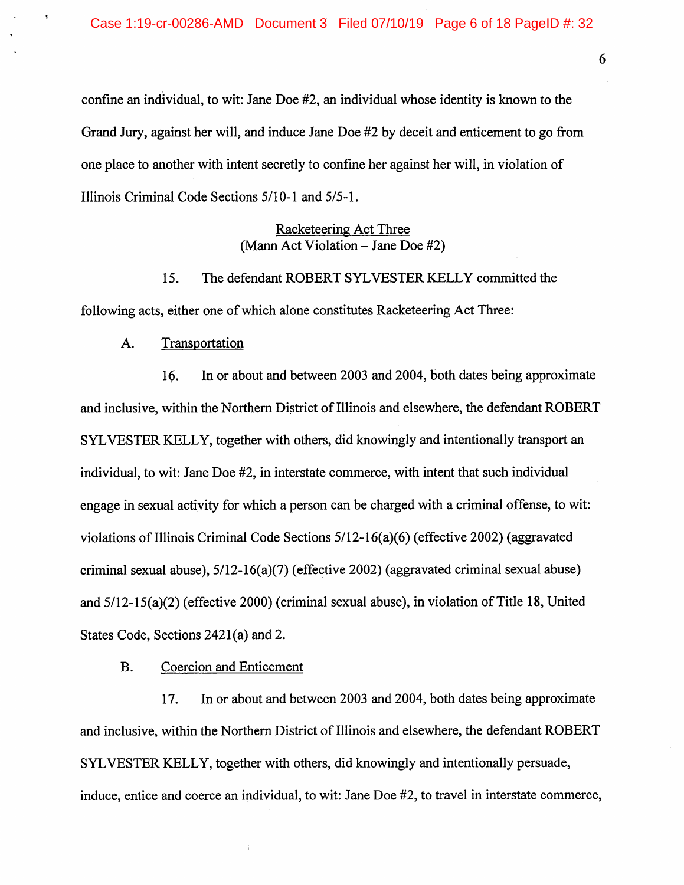confine an individual, to wit: Jane Doe #2, an individual whose identity is known to the Grand Jury, against her will, and induce Jane Doe #2 by deceit and enticement to go from one place to another with intent secretly to confine her against her will, in violation of Illinois Criminal Code Sections 5/10-1 and 5/5-1.

> Racketeering Act Three (Mann Act Violation  $-$  Jane Doe  $#2$ )

15. The defendant ROBERT SYLVESTER KELLY committed the following acts, either one of which alone constitutes Racketeering Act Three:

A. Transportation

16. In or about and between 2003 and 2004, both dates being approximate and inclusive, within the Northern District of Illinois and elsewhere, the defendant ROBERT SYLVESTER KELLY, together with others, did knowingly and intentionally transport an individual, to wit: Jane Doe #2, in interstate commerce, with intent that such individual engage in sexual activity for which a person can be charged with a criminal offense, to wit: violations of Illinois Criminal Code Sections 5/12-16(a)(6) (effective 2002) (aggravated criminal sexual abuse), 5/12-16(a)(7) (effective 2002) (aggravated criminal sexual abuse) and 5/12-15(a)(2) (effective 2000) (criminal sexual abuse), in violation of Title 18, United States Code, Sections 2421(a) and 2.

B. Coercion and Enticement

17. In or about and between 2003 and 2004, both dates being approximate and inclusive, within the Northern District of Illinois and elsewhere, the defendant ROBERT SYLVESTER KELLY, together with others, did knowingly and intentionally persuade, induce, entice and coerce an individual, to wit: Jane Doe #2, to travel in interstate commerce.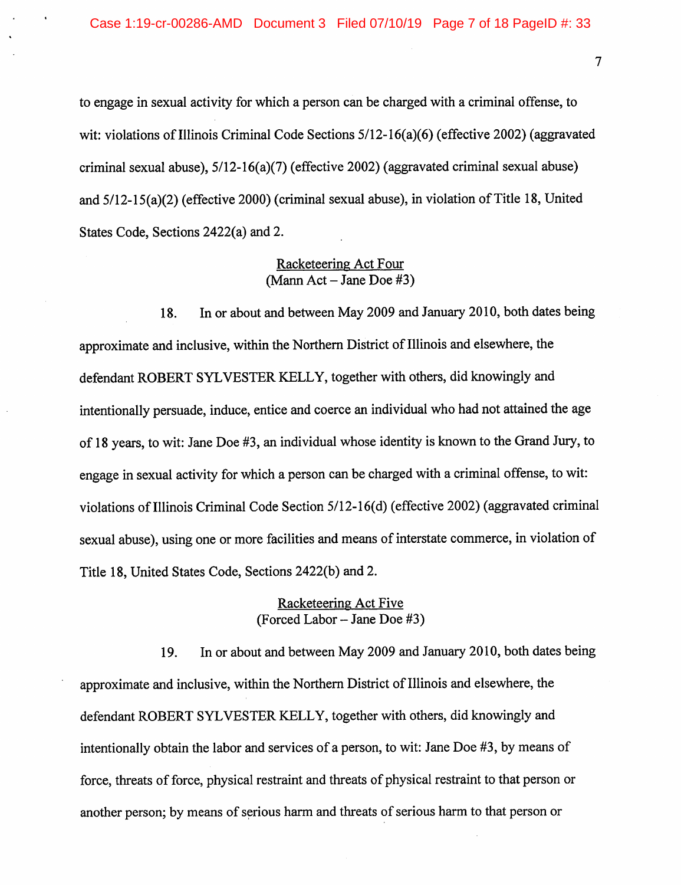to engage in sexual activity for which a person can be charged with a criminal offense, to wit: violations of Illinois Criminal Code Sections 5/12-16(a)(6) (effective 2002) (aggravated criminal sexual abuse), 5/12-16(a)(7) (effective 2002) (aggravated criminal sexual abuse) and 5/12-15(a)(2) (effective 2000) (criminal sexual abuse), in violation of Title 18, United States Code, Sections 2422(a) and 2.

## Racketeering Act Four  $(Mann Act - Jane Doe #3)$

18. In or about and between May 2009 and January 2010, both dates being approximate and inclusive, within the Northern District of Illinois and elsewhere, the defendant ROBERT SYLVESTER KELLY, together with others, did knowingly and intentionally persuade, induce, entice and coerce an individual who had not attained the age of 18 years, to wit: Jane Doe #3, an individual whose identity is known to the Grand Jury, to engage in sexual activity for which a person can be charged with a criminal offense, to wit: violations of Illinois Criminal Code Section 5/12-16(d) (effective 2002) (aggravated criminal sexual abuse), using one or more facilities and means of interstate commerce, in violation of Title 18, United States Code, Sections 2422(b) and 2.

## Racketeering Act Five  $(Forced Labor - Jane Doe #3)$

19. In or about and between May 2009 and January 2010, both dates being approximate and inclusive, within the Northern District of Illinois and elsewhere, the defendant ROBERT SYLVESTER KELLY, together with others, did knowingly and intentionally obtain the labor and services of a person, to wit: Jane Doe #3, by means of force, threats of force, physical restraint and threats of physical restraint to that person or another person; by means of serious harm and threats of serious harm to that person or

 $\overline{7}$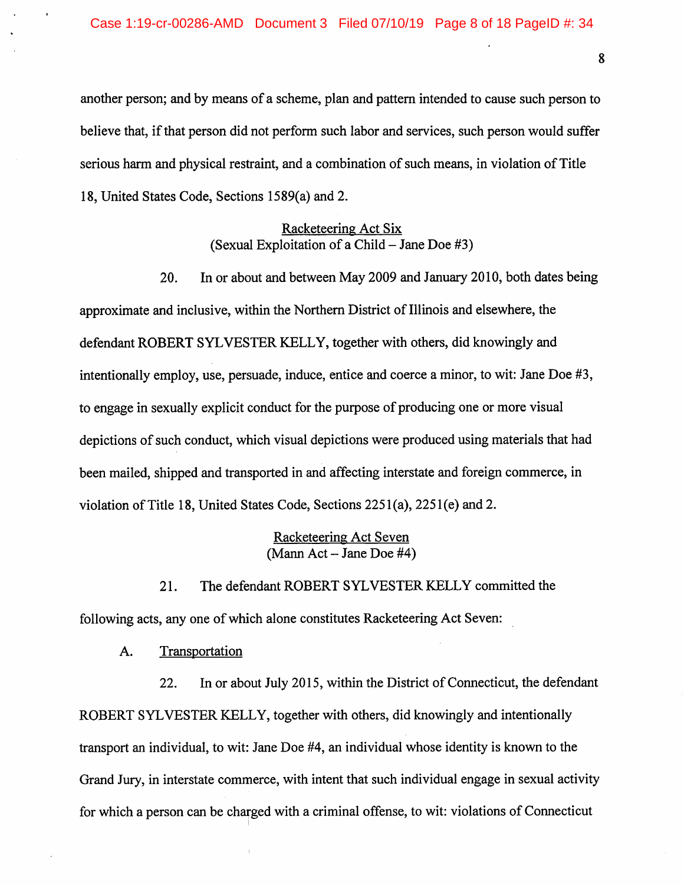another person; and by means of a scheme, plan and pattern intended to cause such person to believe that, if that person did not perform such labor and services, such person would suffer serious harm and physical restraint, and a combination of such means, in violation of Title 18, United States Code, Sections 1589(a) and 2.

## Racketeering Act Six (Sexual Exploitation of a Child  $-$  Jane Doe #3)

20. In or about and between May 2009 and January 2010, both dates being approximate and inclusive, within the Northern District of Illinois and elsewhere, the defendant ROBERT SYLVESTER KELLY, together with others, did knowingly and intentionally employ, use, persuade, induce, entice and coerce a minor, to wit: Jane Doe #3, to engage in sexually explicit conduct for the purpose of producing one or more visual depictions of such conduct, which visual depictions were produced using materials that had been mailed, shipped and transported in and affecting interstate and foreign commerce, in violation of Title 18, United States Code, Sections 2251(a), 2251(e) and 2.

#### Racketeering Act Seven  $(Mann Act - Jane Doe #4)$

21. The defendant ROBERT SYLVESTER KELLY committed the following acts, any one of which alone constitutes Racketeering Act Seven:

A. Transportation

22. In or about July 2015, within the District of Connecticut, the defendant ROBERT SYLVESTER KELLY, together with others, did knowingly and intentionally transport an individual, to wit: Jane Doe #4, an individual whose identity is known to the Grand Jury, in interstate commerce, with intent that such individual engage in sexual activity for which a person can be charged with a criminal offense, to wit: violations of Connecticut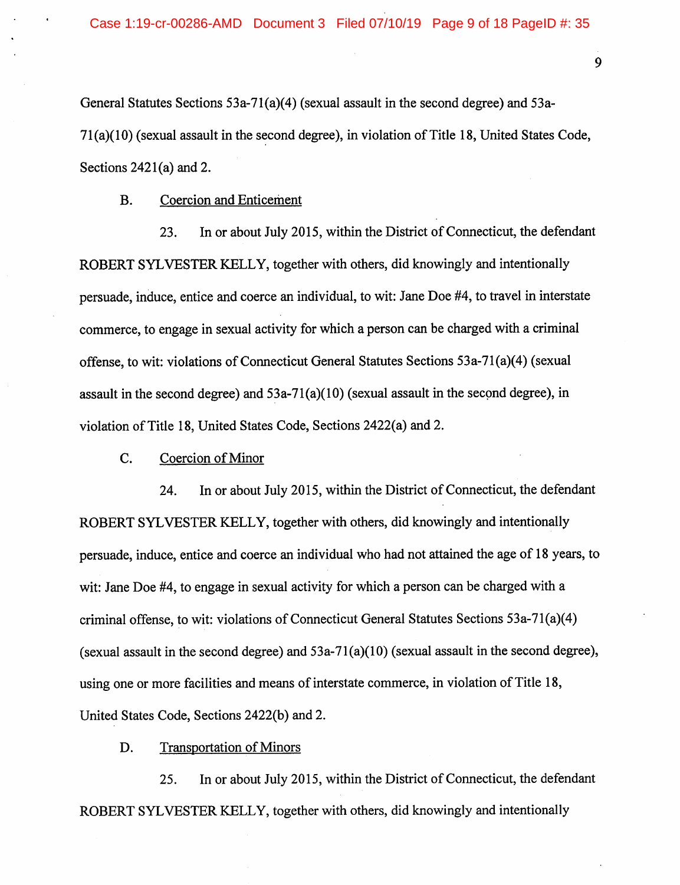General Statutes Sections 53a-71(a)(4) (sexual assault in the second degree) and 53a-71(a)(10) (sexual assault in the second degree), in violation of Title 18, United States Code, Sections 2421(a) and 2.

B. Coercion and Enticement

23. In or about July 2015, within the District of Connecticut, the defendant ROBERT SYLVESTER KELLY, together with others, did knowingly and intentionally persuade, induce, entice and coerce an individual, to wit: Jane Doe #4, to travel in interstate commerce, to engage in sexual activity for which a person can be charged with a criminal offense, to wit: violations of Connecticut General Statutes Sections 53a-71(a)(4) (sexual assault in the second degree) and 53a-71(a)(10) (sexual assault in the second degree), in violation of Title 18, United States Code, Sections 2422(a) and 2.

C. Coercion of Minor

24. In or about July 2015, within the District of Connecticut, the defendant ROBERT SYLVESTER KELLY, together with others, did knowingly and intentionally persuade, induce, entice and coerce an individual who had not attained the age of 18 years, to wit: Jane Doe #4, to engage in sexual activity for which a person can be charged with a criminal offense, to wit: violations of Connecticut General Statutes Sections 53a-71(a)(4) (sexual assault in the second degree) and  $53a-71(a)(10)$  (sexual assault in the second degree), using one or more facilities and means of interstate commerce, in violation of Title 18, United States Code, Sections 2422(b) and 2.

D. Transportation of Minors

25. In or about July 2015, within the District of Connecticut, the defendant ROBERT SYLVESTER KELLY, together with others, did knowingly and intentionally

9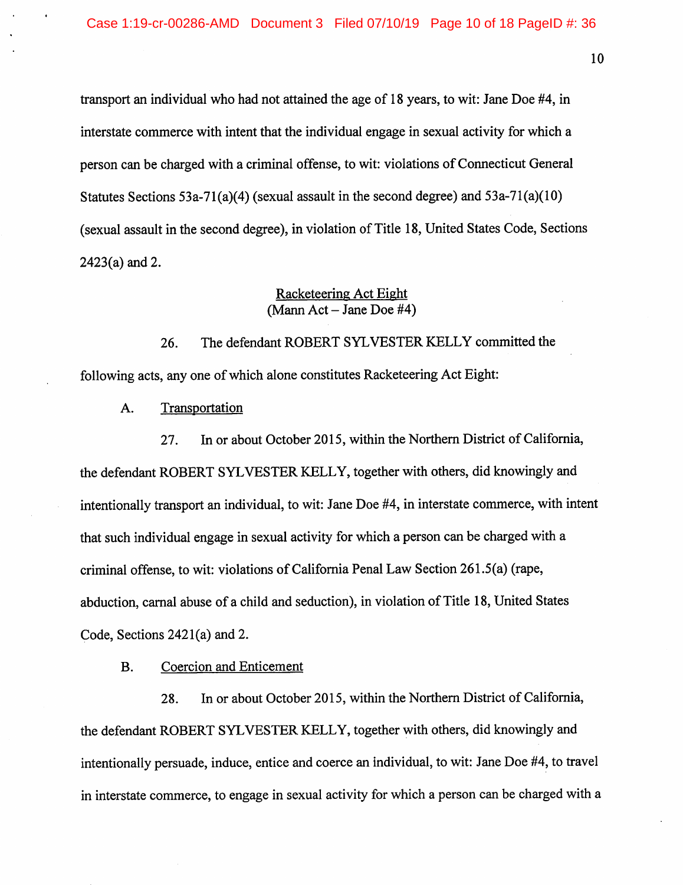transport an individual who had not attained the age of 18 years, to wit: Jane Doe #4, in interstate commerce with intent that the individual engage in sexual activity for which a person can be charged with a criminal offense, to wit: violations of Connecticut General Statutes Sections 53a-71(a)(4) (sexual assault in the second degree) and 53a-71(a)(10) (sexual assault in the second degree), in violation of Title 18, United States Code, Sections 2423(a) and 2.

## Racketeering Act Eight  $(Mann Act - Jane Doe #4)$

26. The defendant ROBERT SYLVESTER KELLY committed the following acts, any one of which alone constitutes Racketeering Act Eight:

A. Transportation

27. In or about October 2015, within the Northern District of California, the defendant ROBERT SYLVESTER KELLY, together with others, did knowingly and intentionally transport an individual, to wit: Jane Doe #4, in interstate commerce, with intent that such individual engage in sexual activity for which a person can be charged with a criminal offense, to wit: violations of California Penal Law Section 261.5(a) (rape, abduction, carnal abuse of a child and seduction), in violation of Title 18, United States Code, Sections 2421(a) and 2.

B. Coercion and Enticement

28. In or about October 2015, within the Northern District of California, the defendant ROBERT SYLVESTER KELLY, together with others, did knowingly and intentionally persuade, induce, entice and coerce an individual, to wit: Jane Doe #4, to travel in interstate commerce, to engage in sexual activity for which a person can be charged with a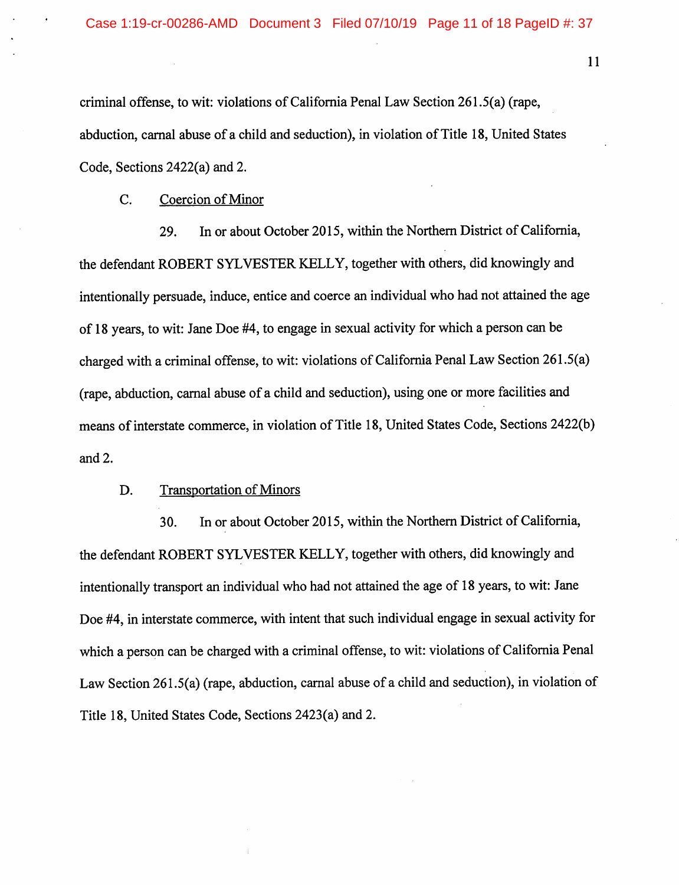criminal offense, to wit: violations of California Penal Law Section 261.5(a) (rape, abduction, carnal abuse of a child and seduction), in violation of Title 18, United States Code, Sections 2422(a) and 2.

C. Coercion of Minor

29. In or about October 2015, within the Northern District of California, the defendant ROBERT SYLVESTER KELLY, together with others, did knowingly and intentionally persuade, induce, entice and coerce an individual who had not attained the age of 18 years, to wit: Jane Doe #4, to engage in sexual activity for which a person can be charged with a criminal offense, to wit: violations of California Penal Law Section 261.5(a) (rape, abduction, carnal abuse of a child and seduction), using one or more facilities and means of interstate commerce, in violation of Title 18, United States Code, Sections 2422(b) and 2.

## D. Transportation of Minors

30. In or about October 2015, within the Northern District of California, the defendant ROBERT SYLVESTER KELLY, together with others, did knowingly and intentionally transport an individual who had not attained the age of 18 years, to wit: Jane Doe #4, in interstate commerce, with intent that such individual engage in sexual activity for which a person can be charged with a criminal offense, to wit: violations of California Penal Law Section 261.5(a) (rape, abduction, carnal abuse of a child and seduction), in violation of Title 18, United States Code, Sections 2423(a) and 2.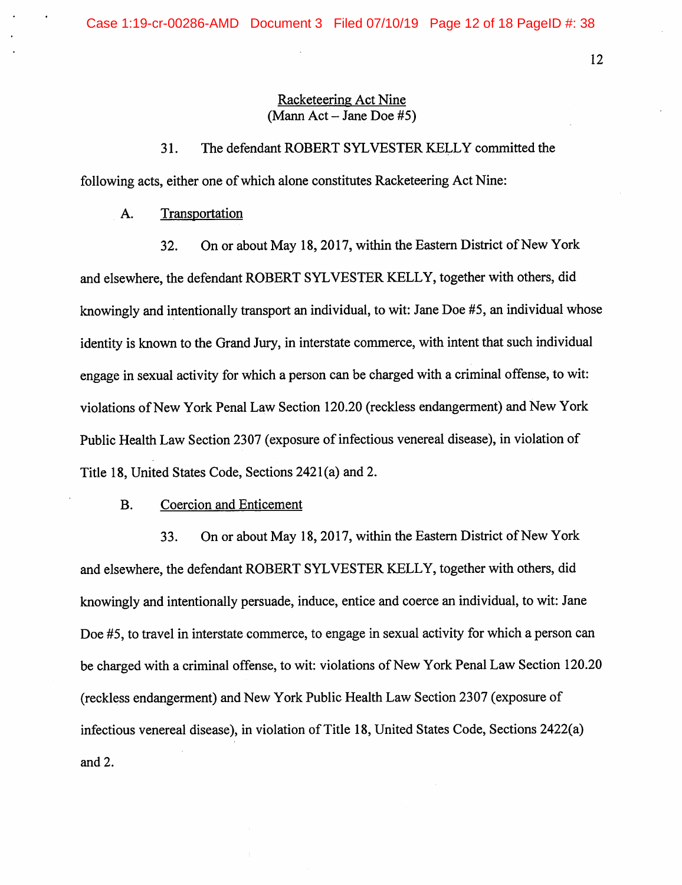## Racketeering Act Nine  $(Mann Act - Jane Doe #5)$

31. The defendant ROBERT SYLVESTER KELLY committed the following acts, either one of which alone constitutes Racketeering Act Nine:

A. Transportation

32. On or about May 18, 2017, within the Eastern District of New York and elsewhere, the defendant ROBERT SYLVESTER KELLY, together with others, did knowingly and intentionally transport an individual, to wit: Jane Doe #5, an individual whose identity is known to the Grand Jury, in interstate commerce, with intent that such individual engage in sexual activity for which a person can be charged with a criminal offense, to wit: violations of New York Penal Law Section 120.20 (reckless endangerment) and New York Public Health Law Section 2307 (exposure of infectious venereal disease), in violation of Title 18, United States Code, Sections 2421(a) and 2.

#### B. Coercion and Enticement

33. On or about May 18,2017, within the Eastern District of New York and elsewhere, the defendant ROBERT SYLVESTER KELLY, together with others, did knowingly and intentionally persuade, induce, entice and coerce an individual, to wit: Jane Doe #5, to travel in interstate commerce, to engage in sexual activity for which a person can be charged with a criminal offense, to wit: violations of New York Penal Law Section 120.20 (reckless endangerment) and New York Public Health Law Section 2307 (exposure of infectious venereal disease), in violation of Title 18, United States Code, Sections 2422(a) and 2.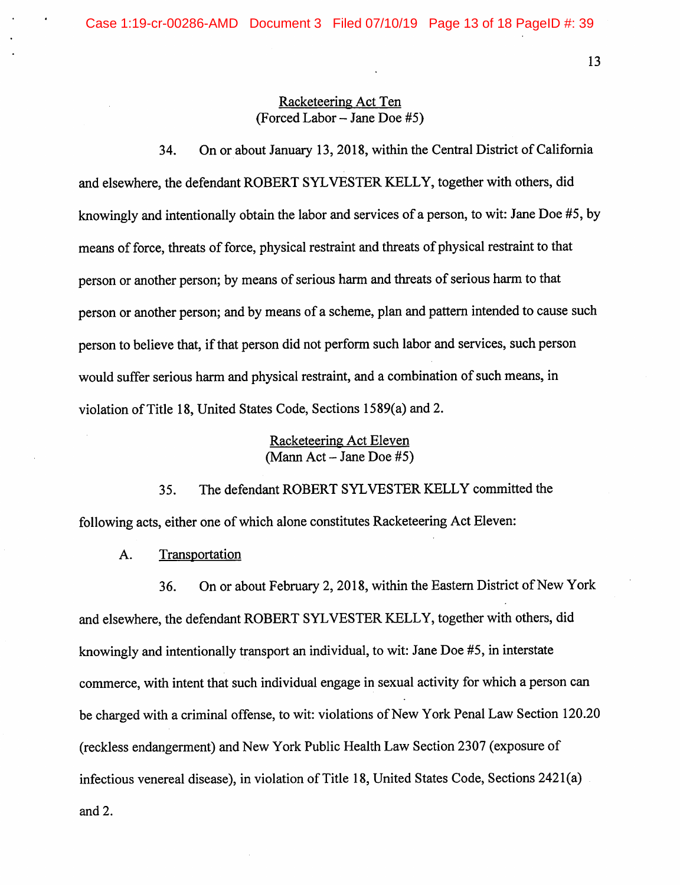## Racketeering Act Ten (Forced Labor  $-$  Jane Doe #5)

34. On or about January 13, 2018, within the Central District of California and elsewhere, the defendant ROBERT SYLVESTER KELLY, together with others, did knowingly and intentionally obtain the labor and services of a person, to wit: Jane Doe #5, by means of force, threats of force, physical restraint and threats of physical restraint to that person or another person; by means of serious harm and threats of serious harm to that person or another person; and by means of a scheme, plan and pattern intended to cause such person to believe that, if that person did not perform such labor and services, such person would suffer serious harm and physical restraint, and a combination of such means, in violation of Title 18, United States Code, Sections 1589(a) and 2.

## Racketeering Act Eleven  $(Mann Act - Jane Doe #5)$

35. The defendant ROBERT SYLVESTER KELLY committed the following acts, either one of which alone constitutes Racketeering Act Eleven:

A. Transportation

36. On or about February 2, 2018, within the Eastern District of New York and elsewhere, the defendant ROBERT SYLVESTER KELLY, together with others, did knowingly and intentionally transport an individual, to wit: Jane Doe #5, in interstate commerce, with intent that such individual engage in sexual activity for which a person can be charged with a criminal offense, to wit: violations of New York Penal Law Section 120.20 (reckless endangerment) and New York Public Health Law Section 2307 (exposure of infectious venereal disease), in violation of Title 18, United States Code, Sections 2421(a) and 2.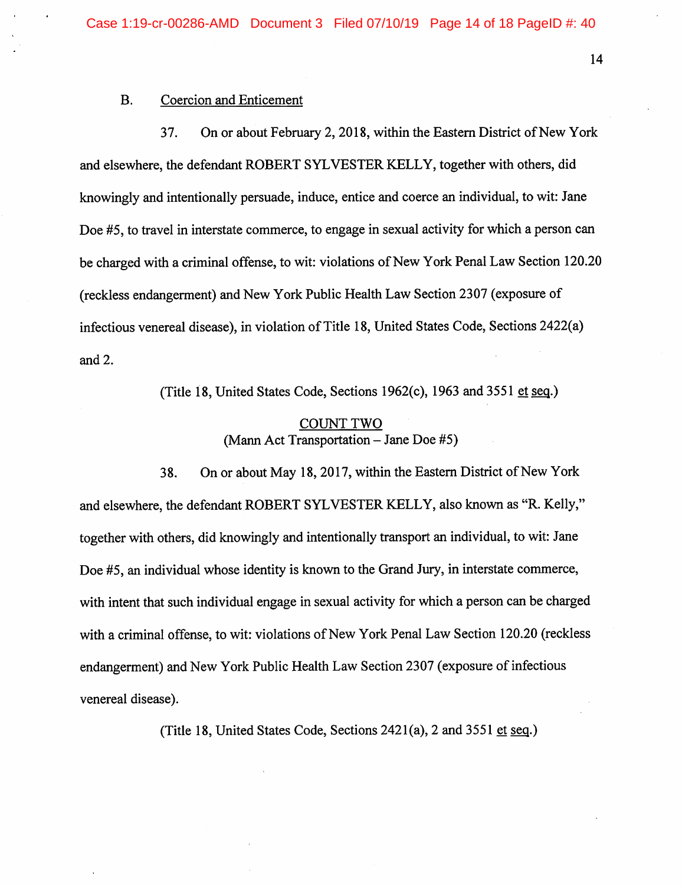#### B. Coercion and Enticement

37. On or about February 2, 2018, within the Eastern District of New York and elsewhere, the defendant ROBERT SYLVESTER KELLY, together with others, did knowingly and intentionally persuade, induce, entice and coerce an individual, to wit: Jane Doe #5, to travel in interstate commerce, to engage in sexual activity for which a person can be charged with a criminal offense, to wit: violations of New York Penal Law Section 120.20 (reckless endangerment) and New York Public Health Law Section 2307 (exposure of infectious venereal disease), in violation of Title 18, United States Code, Sections 2422(a) and 2.

(Title 18, United States Code, Sections 1962(c), 1963 and 3551 et seq.)

## COUNT TWO (Mann Act Transportation  $-$  Jane Doe #5)

38. On or about May 18,2017, within the Eastern District of New York and elsewhere, the defendant ROBERT SYLVESTER KELLY, also known as "R. Kelly," together with others, did knowingly and intentionally transport an individual, to wit: Jane Doe #5, an individual whose identity is known to the Grand Jury, in interstate commerce, with intent that such individual engage in sexual activity for which a person can be charged with a criminal offense, to wit: violations of New York Penal Law Section 120.20 (reckless endangerment) and New York Public Health Law Section 2307 (exposure of infectious venereal disease).

(Title 18, United States Code, Sections  $2421(a)$ , 2 and  $3551$  et seq.)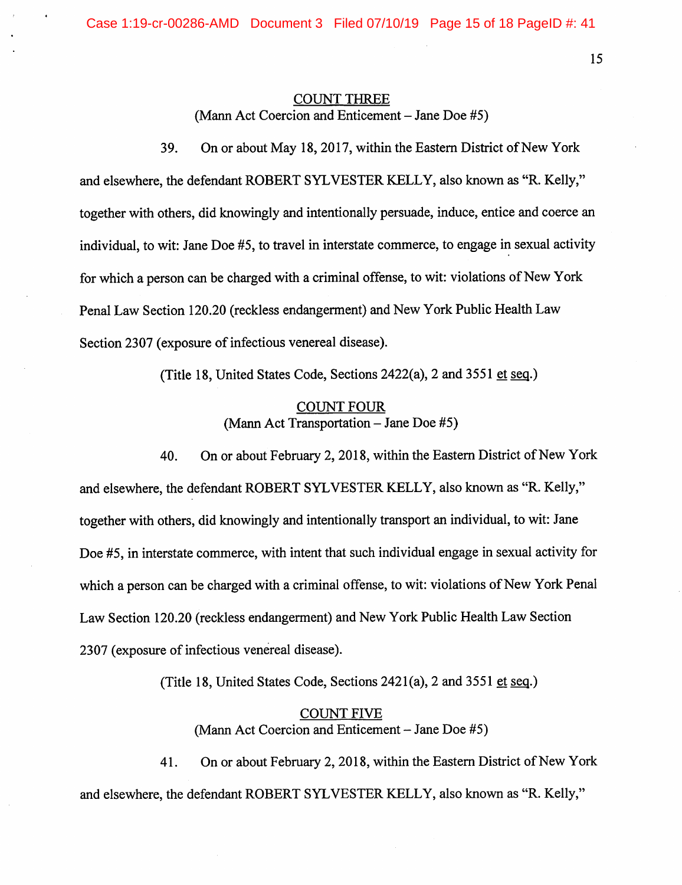Case 1:19-cr-00286-AMD Document 3 Filed 07/10/19 Page 15 of 18 PageID #: 41

## COUNT THREE (Mann Act Coercion and Enticement  $-$  Jane Doe #5)

15

39. On or about May 18,2017, within the Eastern District of New York and elsewhere, the defendant ROBERT SYLVESTER KELLY, also known as "R. Kelly," together with others, did knowingly and intentionally persuade, induce, entice and coerce an individual, to wit: Jane Doe #5, to travel in interstate commerce, to engage in sexual activity for which a person can be charged with a criminal offense, to wit: violations of New York Penal Law Section 120.20 (reckless endangerment) and New York Public Health Law Section 2307 (exposure of infectious venereal disease).

(Title 18, United States Code, Sections 2422(a), 2 and 3551 et seq.)

## COUNT FOUR (Mann Act Transportation  $-$  Jane Doe #5)

40. On or about February 2, 2018, within the Eastern District of New York and elsewhere, the defendant ROBERT SYLVESTER KELLY, also known as "R. Kelly," together with others, did knowingly and intentionally transport an individual, to wit: Jane Doe #5, in interstate commerce, with intent that such individual engage in sexual activity for which a person can be charged with a criminal offense, to wit: violations of New York Penal Law Section 120.20 (reckless endangerment) and New York Public Health Law Section 2307 (exposure of infectious venereal disease).

(Title 18, United States Code, Sections 2421(a), 2 and 3551 et seq.)

## COUNT FIVE (Mann Act Coercion and Enticement  $-$  Jane Doe  $#5$ )

41. On or about February 2, 2018, within the Eastern District of New York and elsewhere, the defendant ROBERT SYLVESTER KELLY, also known as "R. Kelly,"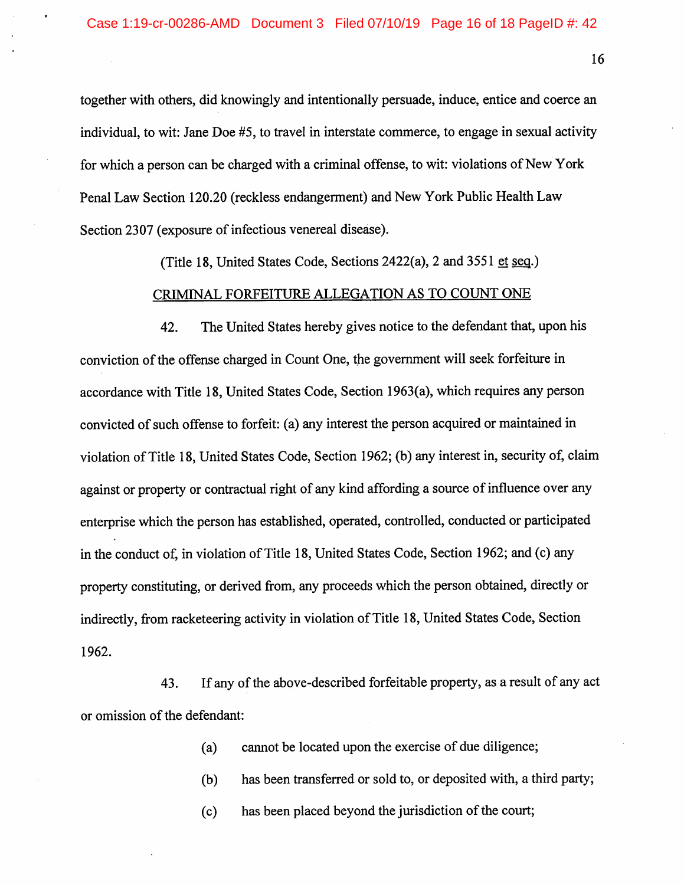together with others, did knowingly and intentionally persuade, induce, entice and coerce an individual, to wit: Jane Doe #5, to travel in interstate commerce, to engage in sexual activity for which a person can be charged with a criminal offense, to wit: violations of New York Penal Law Section 120.20 (reckless endangerment) and New York Public Health Law Section 2307 (exposure of infectious venereal disease).

(Title 18, United States Code, Sections  $2422(a)$ , 2 and  $3551$  et seq.)

#### CRIMINAL FORFEITURE ALLEGATION AS TO COUNT ONE

42. The United States hereby gives notice to the defendant that, upon his conviction of the offense charged in Count One, the government will seek forfeiture in accordance with Title 18, United States Code, Section 1963(a), which requires any person convicted of such offense to forfeit: (a) any interest the person acquired or maintained in violation of Title 18, United States Code, Section 1962; (b) any interest in, security of, claim against or property or contractual right of any kind affording a source of influence over any enterprise which the person has established, operated, controlled, conducted or participated in the conduct of, in violation of Title 18, United States Code, Section 1962; and (c) any property constituting, or derived from, any proceeds which the person obtained, directly or indirectly, from racketeering activity in violation of Title 18, United States Code, Section 1962.

43. If any of the above-described forfeitable property, as a result of any act or omission of the defendant:

(a) cannot be located upon the exercise of due diligence;

- (b) has been transferred or sold to, or deposited with, a third party;
- (c) has been placed beyond the jurisdiction of the court;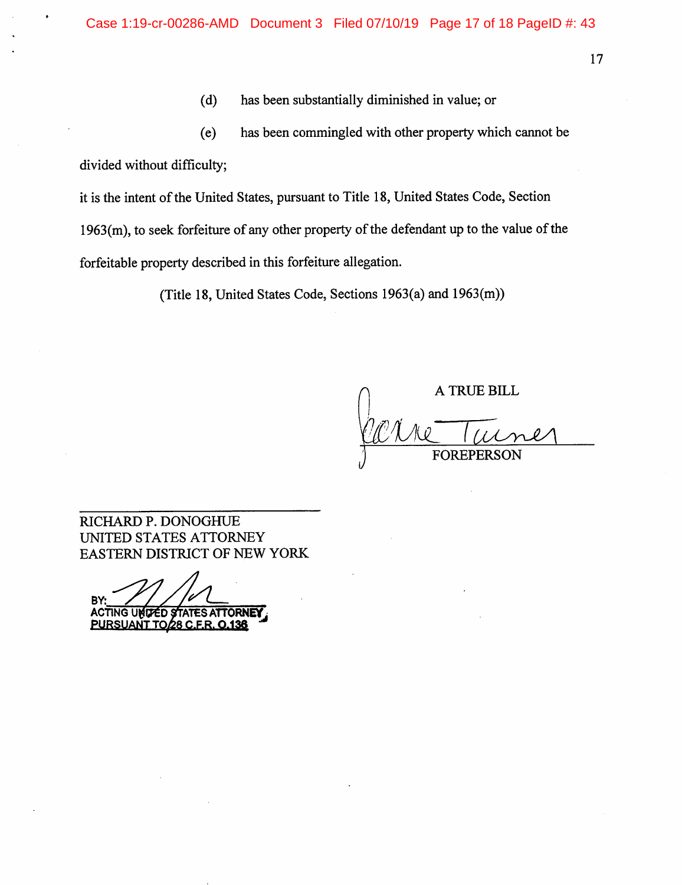(d) has been substantially diminished in value; or

(e) has been commingled with other property which cannot be divided without difficulty;

it is the intent of the United States, pursuant to Title 18, United States Code, Section 1963(m), to seek forfeiture of any other property of the defendant up to the value of the forfeitable property described in this forfeiture allegation.

(Title 18, United States Code, Sections 1963(a) and 1963(m))

**A TRUE BILL** <u>Varre</u> 1 FOREPERSON

RICHARD P. DONOGHUE UNITED STATES ATTORNEY EASTERN DISTRICT OF NEW YORK

B ACTING UNITED STATES ATTORNEY PURSUANT TO 28 C.F.R. 0.136